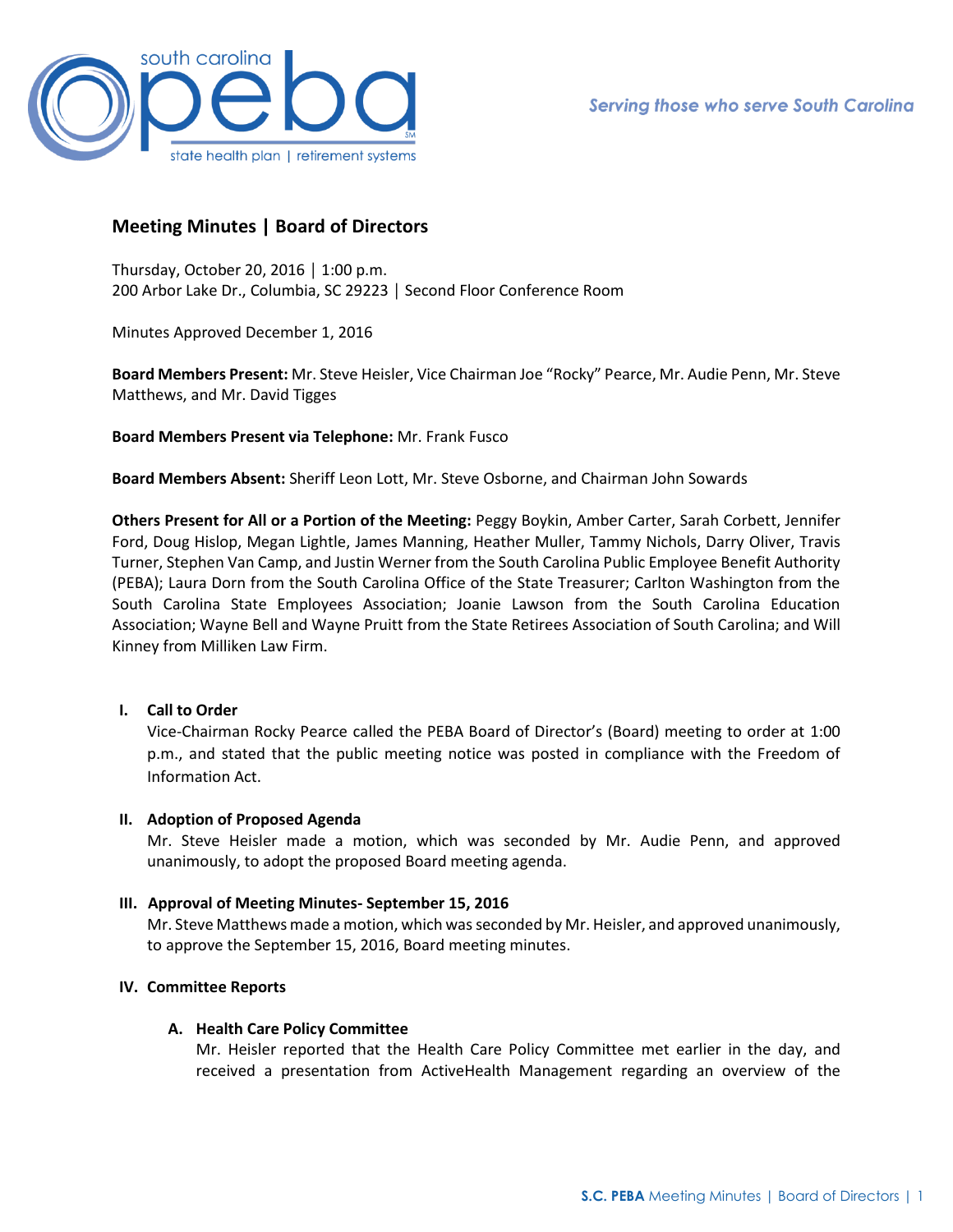

# **Meeting Minutes | Board of Directors**

Thursday, October 20, 2016 │ 1:00 p.m. 200 Arbor Lake Dr., Columbia, SC 29223 │ Second Floor Conference Room

Minutes Approved December 1, 2016

**Board Members Present:** Mr. Steve Heisler, Vice Chairman Joe "Rocky" Pearce, Mr. Audie Penn, Mr. Steve Matthews, and Mr. David Tigges

**Board Members Present via Telephone:** Mr. Frank Fusco

**Board Members Absent:** Sheriff Leon Lott, Mr. Steve Osborne, and Chairman John Sowards

**Others Present for All or a Portion of the Meeting:** Peggy Boykin, Amber Carter, Sarah Corbett, Jennifer Ford, Doug Hislop, Megan Lightle, James Manning, Heather Muller, Tammy Nichols, Darry Oliver, Travis Turner, Stephen Van Camp, and Justin Werner from the South Carolina Public Employee Benefit Authority (PEBA); Laura Dorn from the South Carolina Office of the State Treasurer; Carlton Washington from the South Carolina State Employees Association; Joanie Lawson from the South Carolina Education Association; Wayne Bell and Wayne Pruitt from the State Retirees Association of South Carolina; and Will Kinney from Milliken Law Firm.

# **I. Call to Order**

Vice-Chairman Rocky Pearce called the PEBA Board of Director's (Board) meeting to order at 1:00 p.m., and stated that the public meeting notice was posted in compliance with the Freedom of Information Act.

# **II. Adoption of Proposed Agenda**

Mr. Steve Heisler made a motion, which was seconded by Mr. Audie Penn, and approved unanimously, to adopt the proposed Board meeting agenda.

# **III. Approval of Meeting Minutes- September 15, 2016**

Mr. Steve Matthews made a motion, which was seconded by Mr. Heisler, and approved unanimously, to approve the September 15, 2016, Board meeting minutes.

# **IV. Committee Reports**

# **A. Health Care Policy Committee**

Mr. Heisler reported that the Health Care Policy Committee met earlier in the day, and received a presentation from ActiveHealth Management regarding an overview of the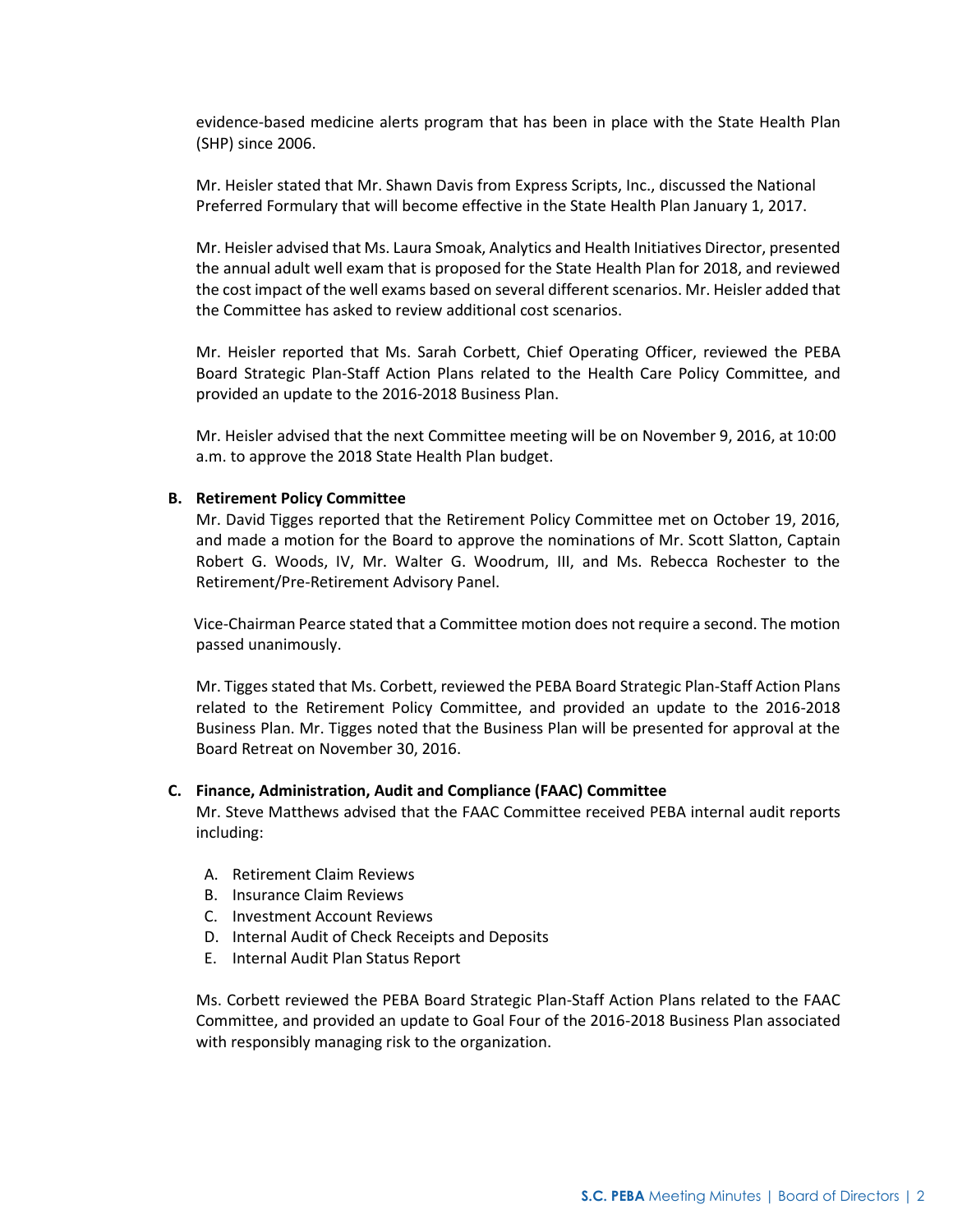evidence-based medicine alerts program that has been in place with the State Health Plan (SHP) since 2006.

Mr. Heisler stated that Mr. Shawn Davis from Express Scripts, Inc., discussed the National Preferred Formulary that will become effective in the State Health Plan January 1, 2017.

Mr. Heisler advised that Ms. Laura Smoak, Analytics and Health Initiatives Director, presented the annual adult well exam that is proposed for the State Health Plan for 2018, and reviewed the cost impact of the well exams based on several different scenarios. Mr. Heisler added that the Committee has asked to review additional cost scenarios.

Mr. Heisler reported that Ms. Sarah Corbett, Chief Operating Officer, reviewed the PEBA Board Strategic Plan-Staff Action Plans related to the Health Care Policy Committee, and provided an update to the 2016-2018 Business Plan.

Mr. Heisler advised that the next Committee meeting will be on November 9, 2016, at 10:00 a.m. to approve the 2018 State Health Plan budget.

### **B. Retirement Policy Committee**

Mr. David Tigges reported that the Retirement Policy Committee met on October 19, 2016, and made a motion for the Board to approve the nominations of Mr. Scott Slatton, Captain Robert G. Woods, IV, Mr. Walter G. Woodrum, III, and Ms. Rebecca Rochester to the Retirement/Pre-Retirement Advisory Panel.

 Vice-Chairman Pearce stated that a Committee motion does not require a second. The motion passed unanimously.

Mr. Tigges stated that Ms. Corbett, reviewed the PEBA Board Strategic Plan-Staff Action Plans related to the Retirement Policy Committee, and provided an update to the 2016-2018 Business Plan. Mr. Tigges noted that the Business Plan will be presented for approval at the Board Retreat on November 30, 2016.

#### **C. Finance, Administration, Audit and Compliance (FAAC) Committee**

Mr. Steve Matthews advised that the FAAC Committee received PEBA internal audit reports including:

- A. Retirement Claim Reviews
- B. Insurance Claim Reviews
- C. Investment Account Reviews
- D. Internal Audit of Check Receipts and Deposits
- E. Internal Audit Plan Status Report

Ms. Corbett reviewed the PEBA Board Strategic Plan-Staff Action Plans related to the FAAC Committee, and provided an update to Goal Four of the 2016-2018 Business Plan associated with responsibly managing risk to the organization.